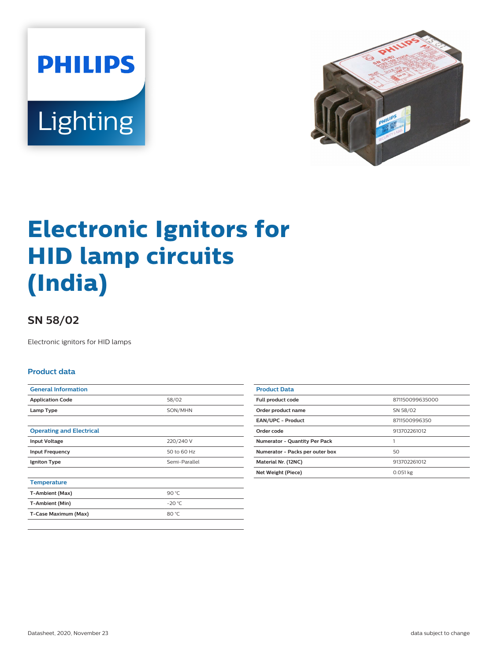



# **Electronic Ignitors for HID lamp circuits (India)**

## **SN 58/02**

Electronic ignitors for HID lamps

#### **Product data**

| <b>General Information</b>      |               |
|---------------------------------|---------------|
| <b>Application Code</b>         | 58/02         |
| Lamp Type                       | SON/MHN       |
|                                 |               |
| <b>Operating and Electrical</b> |               |
| <b>Input Voltage</b>            | 220/240 V     |
| <b>Input Frequency</b>          | 50 to 60 Hz   |
| <b>Igniton Type</b>             | Semi-Parallel |
|                                 |               |
| <b>Temperature</b>              |               |
| T-Ambient (Max)                 | 90 °C         |
| T-Ambient (Min)                 | $-20 °C$      |
| T-Case Maximum (Max)            | 80 °C         |
|                                 |               |

| <b>Product Data</b>                  |                 |
|--------------------------------------|-----------------|
| <b>Full product code</b>             | 871150099635000 |
| Order product name                   | SN 58/02        |
| EAN/UPC - Product                    | 8711500996350   |
| Order code                           | 913702261012    |
| <b>Numerator - Quantity Per Pack</b> |                 |
| Numerator - Packs per outer box      | 50              |
| Material Nr. (12NC)                  | 913702261012    |
| Net Weight (Piece)                   | 0.051 kg        |